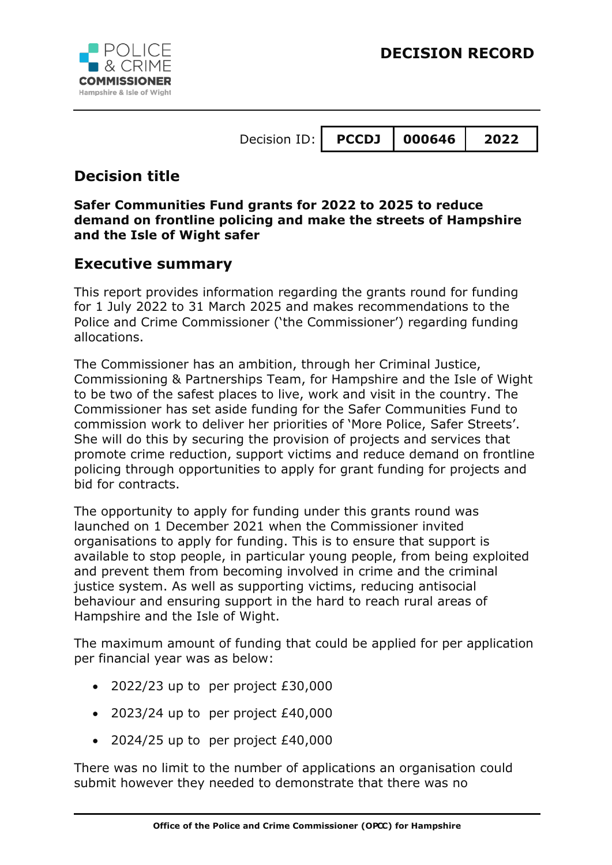

## **Decision title**

#### **Safer Communities Fund grants for 2022 to 2025 to reduce demand on frontline policing and make the streets of Hampshire and the Isle of Wight safer**

### **Executive summary**

This report provides information regarding the grants round for funding for 1 July 2022 to 31 March 2025 and makes recommendations to the Police and Crime Commissioner ('the Commissioner') regarding funding allocations.

The Commissioner has an ambition, through her Criminal Justice, Commissioning & Partnerships Team, for Hampshire and the Isle of Wight to be two of the safest places to live, work and visit in the country. The Commissioner has set aside funding for the Safer Communities Fund to commission work to deliver her priorities of 'More Police, Safer Streets'. She will do this by securing the provision of projects and services that promote crime reduction, support victims and reduce demand on frontline policing through opportunities to apply for grant funding for projects and bid for contracts.

The opportunity to apply for funding under this grants round was launched on 1 December 2021 when the Commissioner invited organisations to apply for funding. This is to ensure that support is available to stop people, in particular young people, from being exploited and prevent them from becoming involved in crime and the criminal justice system. As well as supporting victims, reducing antisocial behaviour and ensuring support in the hard to reach rural areas of Hampshire and the Isle of Wight.

The maximum amount of funding that could be applied for per application per financial year was as below:

- 2022/23 up to per project £30,000
- 2023/24 up to per project £40,000
- $\bullet$  2024/25 up to per project £40,000

There was no limit to the number of applications an organisation could submit however they needed to demonstrate that there was no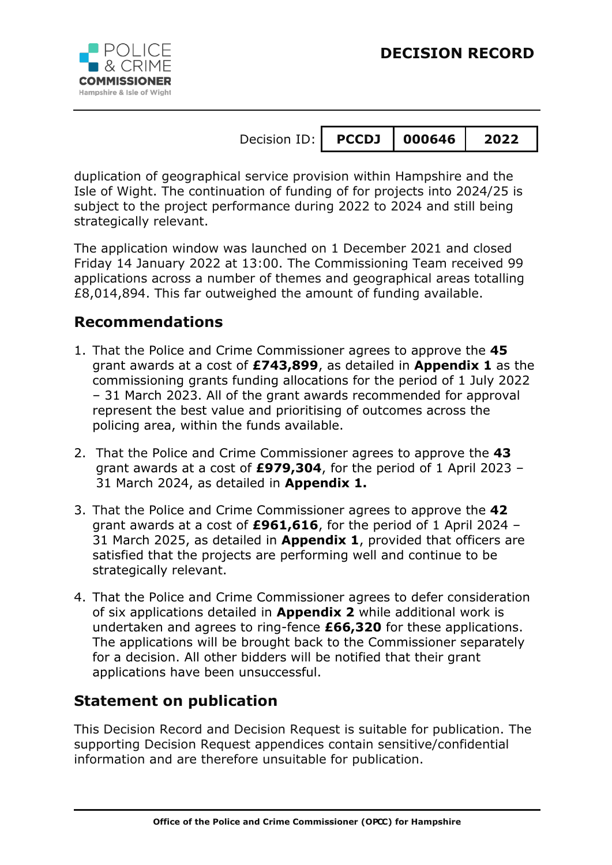

duplication of geographical service provision within Hampshire and the Isle of Wight. The continuation of funding of for projects into 2024/25 is subject to the project performance during 2022 to 2024 and still being strategically relevant.

The application window was launched on 1 December 2021 and closed Friday 14 January 2022 at 13:00. The Commissioning Team received 99 applications across a number of themes and geographical areas totalling £8,014,894. This far outweighed the amount of funding available.

# **Recommendations**

- 1. That the Police and Crime Commissioner agrees to approve the **45** grant awards at a cost of **£743,899**, as detailed in **Appendix 1** as the commissioning grants funding allocations for the period of 1 July 2022 – 31 March 2023. All of the grant awards recommended for approval represent the best value and prioritising of outcomes across the policing area, within the funds available.
- 2. That the Police and Crime Commissioner agrees to approve the **43** grant awards at a cost of **£979,304**, for the period of 1 April 2023 – 31 March 2024, as detailed in **Appendix 1.**
- 3. That the Police and Crime Commissioner agrees to approve the **42** grant awards at a cost of **£961,616**, for the period of 1 April 2024 – 31 March 2025, as detailed in **Appendix 1**, provided that officers are satisfied that the projects are performing well and continue to be strategically relevant.
- 4. That the Police and Crime Commissioner agrees to defer consideration of six applications detailed in **Appendix 2** while additional work is undertaken and agrees to ring-fence **£66,320** for these applications. The applications will be brought back to the Commissioner separately for a decision. All other bidders will be notified that their grant applications have been unsuccessful.

# **Statement on publication**

This Decision Record and Decision Request is suitable for publication. The supporting Decision Request appendices contain sensitive/confidential information and are therefore unsuitable for publication.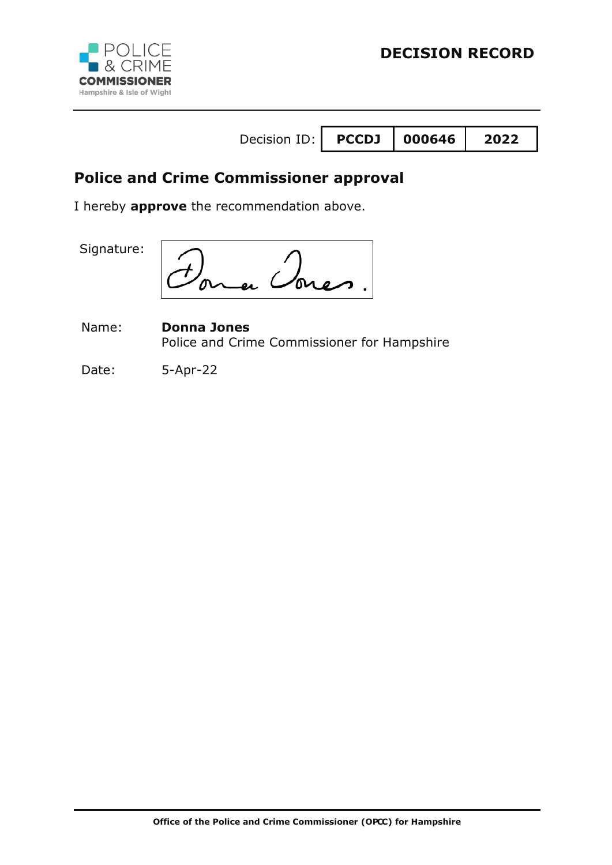

# **Police and Crime Commissioner approval**

I hereby **approve** the recommendation above.

Signature:

Name: **Donna Jones** Police and Crime Commissioner for Hampshire

Date: 5-Apr-22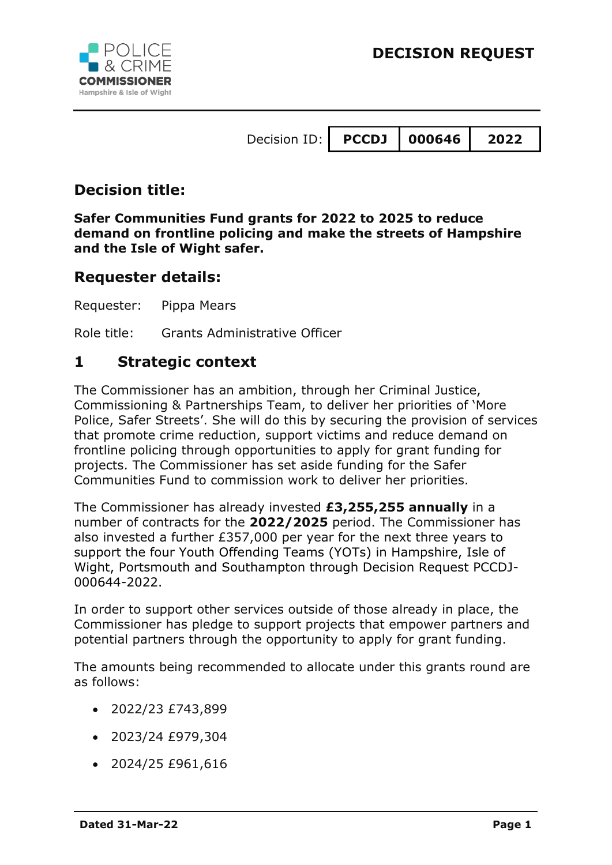



## **Decision title:**

**Safer Communities Fund grants for 2022 to 2025 to reduce demand on frontline policing and make the streets of Hampshire and the Isle of Wight safer.**

### **Requester details:**

Requester: Pippa Mears

Role title: Grants Administrative Officer

### **1 Strategic context**

The Commissioner has an ambition, through her Criminal Justice, Commissioning & Partnerships Team, to deliver her priorities of 'More Police, Safer Streets'. She will do this by securing the provision of services that promote crime reduction, support victims and reduce demand on frontline policing through opportunities to apply for grant funding for projects. The Commissioner has set aside funding for the Safer Communities Fund to commission work to deliver her priorities.

The Commissioner has already invested **£3,255,255 annually** in a number of contracts for the **2022/2025** period. The Commissioner has also invested a further £357,000 per year for the next three years to support the four Youth Offending Teams (YOTs) in Hampshire, Isle of Wight, Portsmouth and Southampton through Decision Request PCCDJ-000644-2022.

In order to support other services outside of those already in place, the Commissioner has pledge to support projects that empower partners and potential partners through the opportunity to apply for grant funding.

The amounts being recommended to allocate under this grants round are as follows:

- $\bullet$  2022/23 £743,899
- 2023/24 £979,304
- 2024/25 £961,616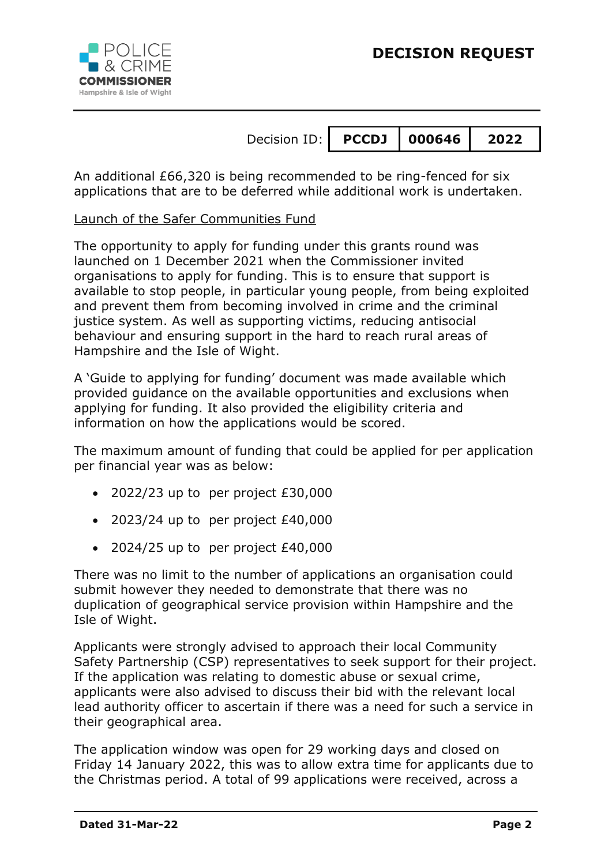

An additional £66,320 is being recommended to be ring-fenced for six applications that are to be deferred while additional work is undertaken.

Launch of the Safer Communities Fund

The opportunity to apply for funding under this grants round was launched on 1 December 2021 when the Commissioner invited organisations to apply for funding. This is to ensure that support is available to stop people, in particular young people, from being exploited and prevent them from becoming involved in crime and the criminal justice system. As well as supporting victims, reducing antisocial behaviour and ensuring support in the hard to reach rural areas of Hampshire and the Isle of Wight.

A 'Guide to applying for funding' document was made available which provided guidance on the available opportunities and exclusions when applying for funding. It also provided the eligibility criteria and information on how the applications would be scored.

The maximum amount of funding that could be applied for per application per financial year was as below:

- $\bullet$  2022/23 up to per project £30,000
- $\bullet$  2023/24 up to per project £40,000
- $\bullet$  2024/25 up to per project £40,000

There was no limit to the number of applications an organisation could submit however they needed to demonstrate that there was no duplication of geographical service provision within Hampshire and the Isle of Wight.

Applicants were strongly advised to approach their local Community Safety Partnership (CSP) representatives to seek support for their project. If the application was relating to domestic abuse or sexual crime, applicants were also advised to discuss their bid with the relevant local lead authority officer to ascertain if there was a need for such a service in their geographical area.

The application window was open for 29 working days and closed on Friday 14 January 2022, this was to allow extra time for applicants due to the Christmas period. A total of 99 applications were received, across a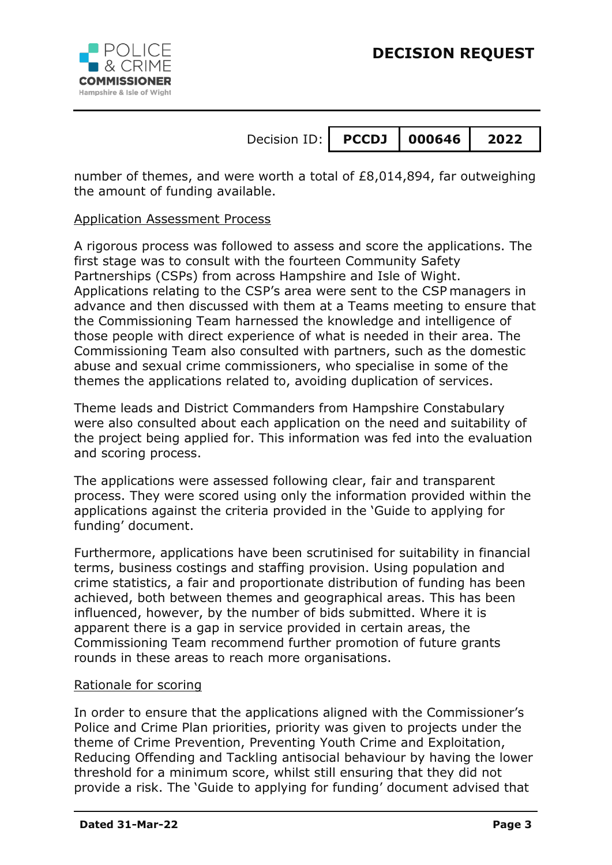

number of themes, and were worth a total of £8,014,894, far outweighing the amount of funding available.

#### Application Assessment Process

A rigorous process was followed to assess and score the applications. The first stage was to consult with the fourteen Community Safety Partnerships (CSPs) from across Hampshire and Isle of Wight. Applications relating to the CSP's area were sent to the CSP managers in advance and then discussed with them at a Teams meeting to ensure that the Commissioning Team harnessed the knowledge and intelligence of those people with direct experience of what is needed in their area. The Commissioning Team also consulted with partners, such as the domestic abuse and sexual crime commissioners, who specialise in some of the themes the applications related to, avoiding duplication of services.

Theme leads and District Commanders from Hampshire Constabulary were also consulted about each application on the need and suitability of the project being applied for. This information was fed into the evaluation and scoring process.

The applications were assessed following clear, fair and transparent process. They were scored using only the information provided within the applications against the criteria provided in the 'Guide to applying for funding' document.

Furthermore, applications have been scrutinised for suitability in financial terms, business costings and staffing provision. Using population and crime statistics, a fair and proportionate distribution of funding has been achieved, both between themes and geographical areas. This has been influenced, however, by the number of bids submitted. Where it is apparent there is a gap in service provided in certain areas, the Commissioning Team recommend further promotion of future grants rounds in these areas to reach more organisations.

#### Rationale for scoring

In order to ensure that the applications aligned with the Commissioner's Police and Crime Plan priorities, priority was given to projects under the theme of Crime Prevention, Preventing Youth Crime and Exploitation, Reducing Offending and Tackling antisocial behaviour by having the lower threshold for a minimum score, whilst still ensuring that they did not provide a risk. The 'Guide to applying for funding' document advised that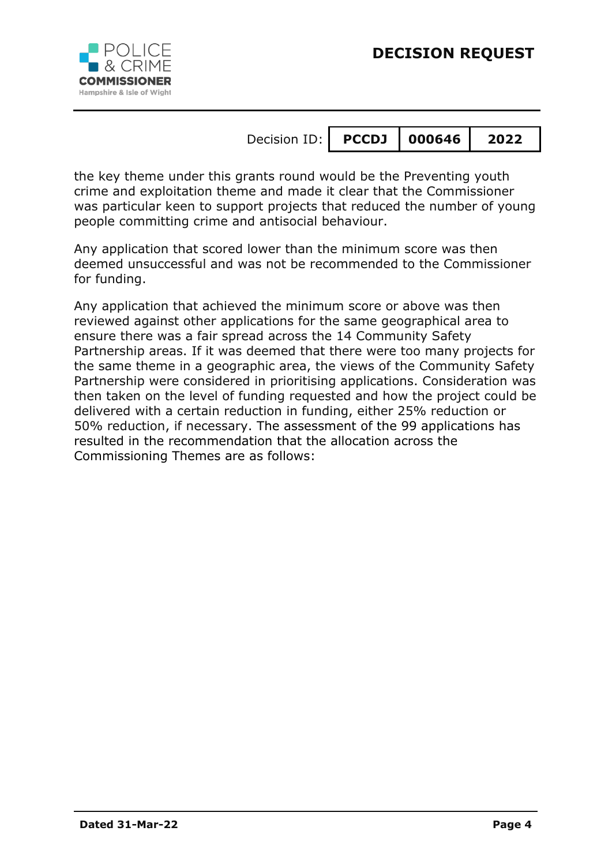

the key theme under this grants round would be the Preventing youth crime and exploitation theme and made it clear that the Commissioner was particular keen to support projects that reduced the number of young people committing crime and antisocial behaviour.

Any application that scored lower than the minimum score was then deemed unsuccessful and was not be recommended to the Commissioner for funding.

Any application that achieved the minimum score or above was then reviewed against other applications for the same geographical area to ensure there was a fair spread across the 14 Community Safety Partnership areas. If it was deemed that there were too many projects for the same theme in a geographic area, the views of the Community Safety Partnership were considered in prioritising applications. Consideration was then taken on the level of funding requested and how the project could be delivered with a certain reduction in funding, either 25% reduction or 50% reduction, if necessary. The assessment of the 99 applications has resulted in the recommendation that the allocation across the Commissioning Themes are as follows: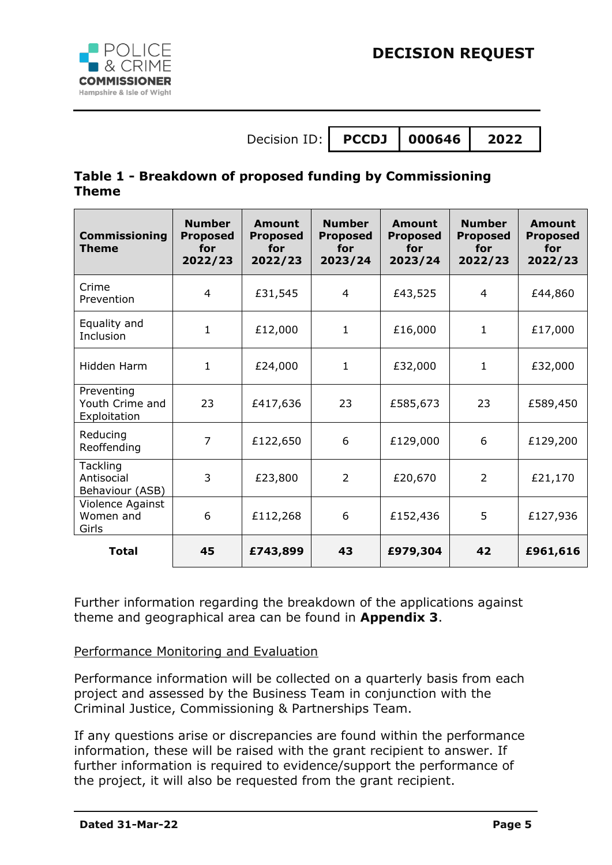

### **Table 1 - Breakdown of proposed funding by Commissioning Theme**

| <b>Commissioning</b><br><b>Theme</b>             | <b>Number</b><br><b>Proposed</b><br>for<br>2022/23 | Amount<br><b>Proposed</b><br>for<br>2022/23 | <b>Number</b><br><b>Proposed</b><br>for<br>2023/24 | Amount<br><b>Proposed</b><br>for<br>2023/24 | <b>Number</b><br><b>Proposed</b><br>for<br>2022/23 | Amount<br><b>Proposed</b><br>for<br>2022/23 |
|--------------------------------------------------|----------------------------------------------------|---------------------------------------------|----------------------------------------------------|---------------------------------------------|----------------------------------------------------|---------------------------------------------|
| Crime<br>Prevention                              | $\overline{4}$                                     | £31,545                                     | 4                                                  | £43,525                                     | 4                                                  | £44,860                                     |
| Equality and<br>Inclusion                        | $\mathbf{1}$                                       | £12,000                                     | $\mathbf{1}$                                       | £16,000                                     | $\mathbf{1}$                                       | £17,000                                     |
| Hidden Harm                                      | $\mathbf{1}$                                       | £24,000                                     | $\mathbf{1}$                                       | £32,000                                     | $\mathbf{1}$                                       | £32,000                                     |
| Preventing<br>Youth Crime and<br>Exploitation    | 23                                                 | £417,636                                    | 23                                                 | £585,673                                    | 23                                                 | £589,450                                    |
| Reducing<br>Reoffending                          | 7                                                  | £122,650                                    | 6                                                  | £129,000                                    | 6                                                  | £129,200                                    |
| <b>Tackling</b><br>Antisocial<br>Behaviour (ASB) | 3                                                  | £23,800                                     | 2                                                  | £20,670                                     | 2                                                  | £21,170                                     |
| Violence Against<br>Women and<br>Girls           | 6                                                  | £112,268                                    | 6                                                  | £152,436                                    | 5                                                  | £127,936                                    |
| <b>Total</b>                                     | 45                                                 | £743,899                                    | 43                                                 | £979,304                                    | 42                                                 | £961,616                                    |

Further information regarding the breakdown of the applications against theme and geographical area can be found in **Appendix 3**.

### Performance Monitoring and Evaluation

Performance information will be collected on a quarterly basis from each project and assessed by the Business Team in conjunction with the Criminal Justice, Commissioning & Partnerships Team.

If any questions arise or discrepancies are found within the performance information, these will be raised with the grant recipient to answer. If further information is required to evidence/support the performance of the project, it will also be requested from the grant recipient.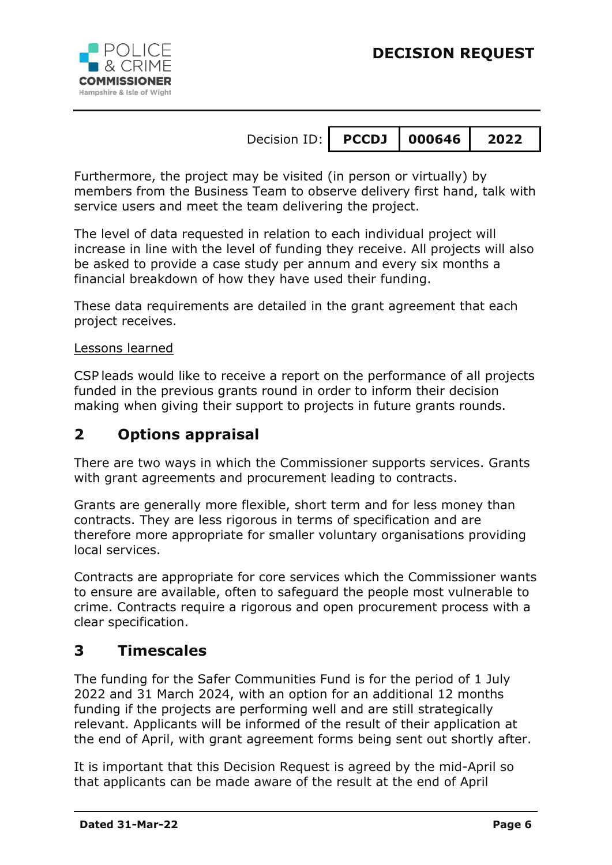

Furthermore, the project may be visited (in person or virtually) by members from the Business Team to observe delivery first hand, talk with service users and meet the team delivering the project.

The level of data requested in relation to each individual project will increase in line with the level of funding they receive. All projects will also be asked to provide a case study per annum and every six months a financial breakdown of how they have used their funding.

These data requirements are detailed in the grant agreement that each project receives.

#### Lessons learned

CSP leads would like to receive a report on the performance of all projects funded in the previous grants round in order to inform their decision making when giving their support to projects in future grants rounds.

### **2 Options appraisal**

There are two ways in which the Commissioner supports services. Grants with grant agreements and procurement leading to contracts.

Grants are generally more flexible, short term and for less money than contracts. They are less rigorous in terms of specification and are therefore more appropriate for smaller voluntary organisations providing local services.

Contracts are appropriate for core services which the Commissioner wants to ensure are available, often to safeguard the people most vulnerable to crime. Contracts require a rigorous and open procurement process with a clear specification.

### **3 Timescales**

The funding for the Safer Communities Fund is for the period of 1 July 2022 and 31 March 2024, with an option for an additional 12 months funding if the projects are performing well and are still strategically relevant. Applicants will be informed of the result of their application at the end of April, with grant agreement forms being sent out shortly after.

It is important that this Decision Request is agreed by the mid-April so that applicants can be made aware of the result at the end of April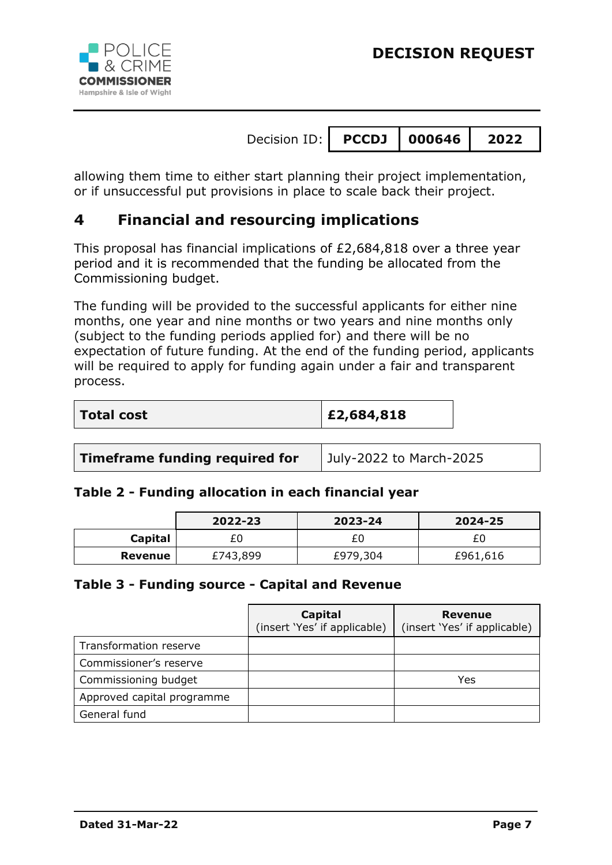

allowing them time to either start planning their project implementation, or if unsuccessful put provisions in place to scale back their project.

# **4 Financial and resourcing implications**

This proposal has financial implications of £2,684,818 over a three year period and it is recommended that the funding be allocated from the Commissioning budget.

The funding will be provided to the successful applicants for either nine months, one year and nine months or two years and nine months only (subject to the funding periods applied for) and there will be no expectation of future funding. At the end of the funding period, applicants will be required to apply for funding again under a fair and transparent process.

| <b>Total cost</b> | E2,684,818 |
|-------------------|------------|
|-------------------|------------|

**Timeframe funding required for** | July-2022 to March-2025

### **Table 2 - Funding allocation in each financial year**

|         | 2022-23  | 2023-24  | 2024-25  |
|---------|----------|----------|----------|
| Capital | £0       |          |          |
| Revenue | £743,899 | £979,304 | £961,616 |

#### **Table 3 - Funding source - Capital and Revenue**

|                            | Capital<br>(insert 'Yes' if applicable) | <b>Revenue</b><br>(insert 'Yes' if applicable) |
|----------------------------|-----------------------------------------|------------------------------------------------|
| Transformation reserve     |                                         |                                                |
| Commissioner's reserve     |                                         |                                                |
| Commissioning budget       |                                         | Yes                                            |
| Approved capital programme |                                         |                                                |
| General fund               |                                         |                                                |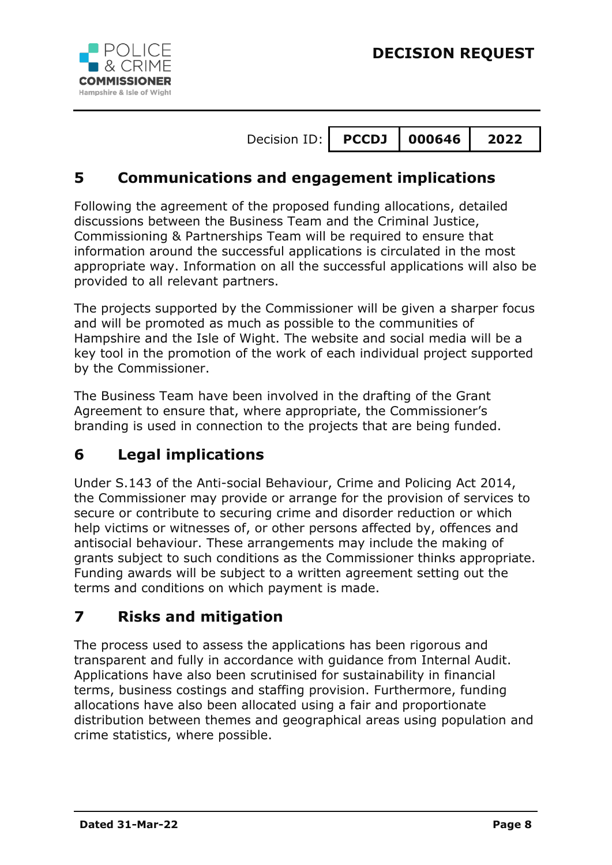



# **5 Communications and engagement implications**

Following the agreement of the proposed funding allocations, detailed discussions between the Business Team and the Criminal Justice, Commissioning & Partnerships Team will be required to ensure that information around the successful applications is circulated in the most appropriate way. Information on all the successful applications will also be provided to all relevant partners.

The projects supported by the Commissioner will be given a sharper focus and will be promoted as much as possible to the communities of Hampshire and the Isle of Wight. The website and social media will be a key tool in the promotion of the work of each individual project supported by the Commissioner.

The Business Team have been involved in the drafting of the Grant Agreement to ensure that, where appropriate, the Commissioner's branding is used in connection to the projects that are being funded.

# **6 Legal implications**

Under S.143 of the Anti-social Behaviour, Crime and Policing Act 2014, the Commissioner may provide or arrange for the provision of services to secure or contribute to securing crime and disorder reduction or which help victims or witnesses of, or other persons affected by, offences and antisocial behaviour. These arrangements may include the making of grants subject to such conditions as the Commissioner thinks appropriate. Funding awards will be subject to a written agreement setting out the terms and conditions on which payment is made.

# **7 Risks and mitigation**

The process used to assess the applications has been rigorous and transparent and fully in accordance with guidance from Internal Audit. Applications have also been scrutinised for sustainability in financial terms, business costings and staffing provision. Furthermore, funding allocations have also been allocated using a fair and proportionate distribution between themes and geographical areas using population and crime statistics, where possible.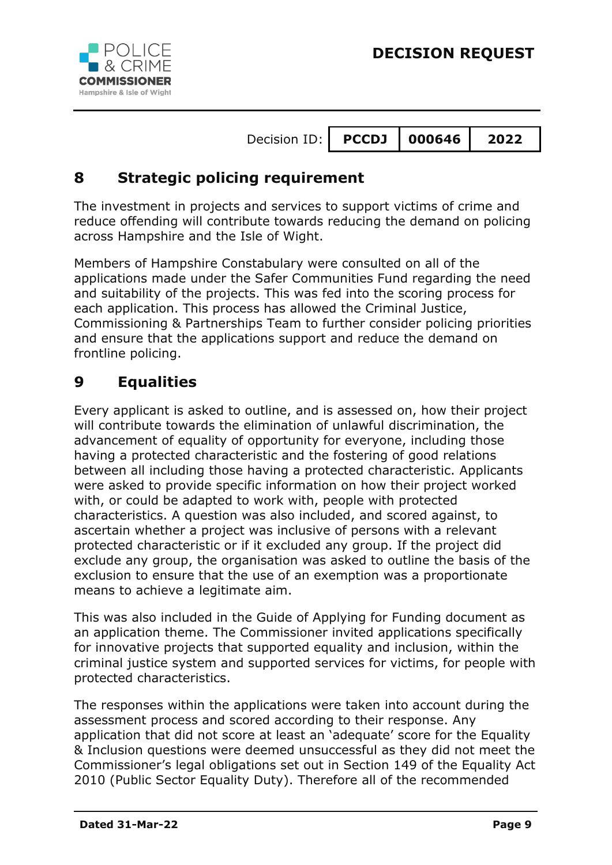

# **8 Strategic policing requirement**

The investment in projects and services to support victims of crime and reduce offending will contribute towards reducing the demand on policing across Hampshire and the Isle of Wight.

Members of Hampshire Constabulary were consulted on all of the applications made under the Safer Communities Fund regarding the need and suitability of the projects. This was fed into the scoring process for each application. This process has allowed the Criminal Justice, Commissioning & Partnerships Team to further consider policing priorities and ensure that the applications support and reduce the demand on frontline policing.

# **9 Equalities**

Every applicant is asked to outline, and is assessed on, how their project will contribute towards the elimination of unlawful discrimination, the advancement of equality of opportunity for everyone, including those having a protected characteristic and the fostering of good relations between all including those having a protected characteristic. Applicants were asked to provide specific information on how their project worked with, or could be adapted to work with, people with protected characteristics. A question was also included, and scored against, to ascertain whether a project was inclusive of persons with a relevant protected characteristic or if it excluded any group. If the project did exclude any group, the organisation was asked to outline the basis of the exclusion to ensure that the use of an exemption was a proportionate means to achieve a legitimate aim.

This was also included in the Guide of Applying for Funding document as an application theme. The Commissioner invited applications specifically for innovative projects that supported equality and inclusion, within the criminal justice system and supported services for victims, for people with protected characteristics.

The responses within the applications were taken into account during the assessment process and scored according to their response. Any application that did not score at least an 'adequate' score for the Equality & Inclusion questions were deemed unsuccessful as they did not meet the Commissioner's legal obligations set out in Section 149 of the Equality Act 2010 (Public Sector Equality Duty). Therefore all of the recommended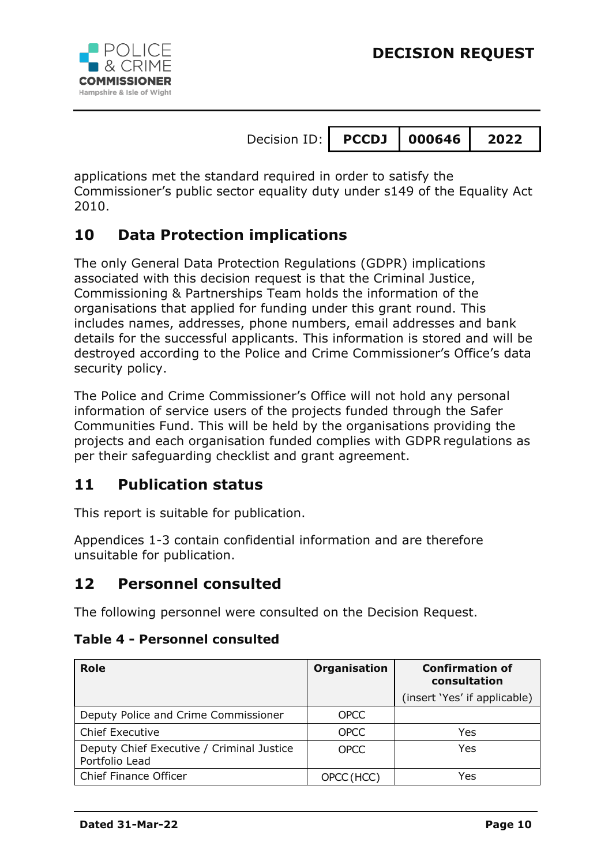



applications met the standard required in order to satisfy the Commissioner's public sector equality duty under s149 of the Equality Act 2010.

# **10 Data Protection implications**

The only General Data Protection Regulations (GDPR) implications associated with this decision request is that the Criminal Justice, Commissioning & Partnerships Team holds the information of the organisations that applied for funding under this grant round. This includes names, addresses, phone numbers, email addresses and bank details for the successful applicants. This information is stored and will be destroyed according to the Police and Crime Commissioner's Office's data security policy.

The Police and Crime Commissioner's Office will not hold any personal information of service users of the projects funded through the Safer Communities Fund. This will be held by the organisations providing the projects and each organisation funded complies with GDPR regulations as per their safeguarding checklist and grant agreement.

# **11 Publication status**

This report is suitable for publication.

Appendices 1-3 contain confidential information and are therefore unsuitable for publication.

# **12 Personnel consulted**

The following personnel were consulted on the Decision Request.

**Table 4 - Personnel consulted**

| <b>Role</b>                                                 | <b>Organisation</b> | <b>Confirmation of</b><br>consultation |
|-------------------------------------------------------------|---------------------|----------------------------------------|
|                                                             |                     | (insert 'Yes' if applicable)           |
| Deputy Police and Crime Commissioner                        | <b>OPCC</b>         |                                        |
| <b>Chief Executive</b>                                      | <b>OPCC</b>         | Yes                                    |
| Deputy Chief Executive / Criminal Justice<br>Portfolio Lead | <b>OPCC</b>         | Yes                                    |
| <b>Chief Finance Officer</b>                                | OPCC (HCC)          | Yes                                    |